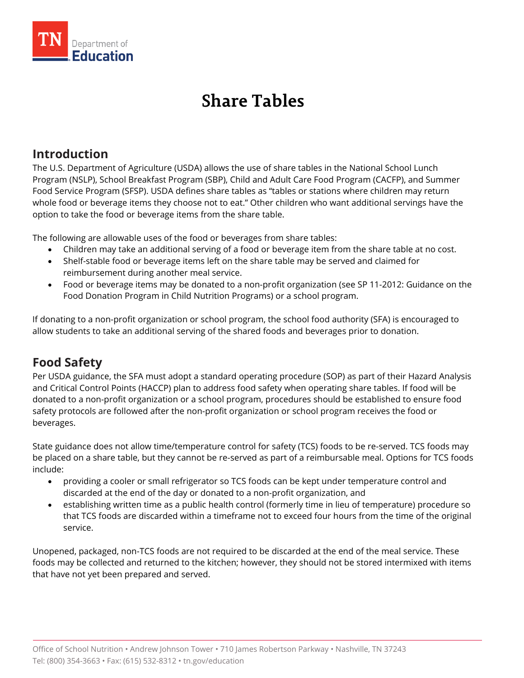

# **Share Tables**

### **Introduction**

The U.S. Department of Agriculture (USDA) allows the use of share tables in the National School Lunch Program (NSLP), School Breakfast Program (SBP), Child and Adult Care Food Program (CACFP), and Summer Food Service Program (SFSP). USDA defines share tables as "tables or stations where children may return whole food or beverage items they choose not to eat." Other children who want additional servings have the option to take the food or beverage items from the share table.

The following are allowable uses of the food or beverages from share tables:

- Children may take an additional serving of a food or beverage item from the share table at no cost.
- Shelf-stable food or beverage items left on the share table may be served and claimed for reimbursement during another meal service.
- Food or beverage items may be donated to a non-profit organization (see SP 11-2012: Guidance on the Food Donation Program in Child Nutrition Programs) or a school program.

If donating to a non-profit organization or school program, the school food authority (SFA) is encouraged to allow students to take an additional serving of the shared foods and beverages prior to donation.

## **Food Safety**

Per USDA guidance, the SFA must adopt a standard operating procedure (SOP) as part of their Hazard Analysis and Critical Control Points (HACCP) plan to address food safety when operating share tables. If food will be donated to a non-profit organization or a school program, procedures should be established to ensure food safety protocols are followed after the non-profit organization or school program receives the food or beverages.

State guidance does not allow time/temperature control for safety (TCS) foods to be re-served. TCS foods may be placed on a share table, but they cannot be re-served as part of a reimbursable meal. Options for TCS foods include:

- providing a cooler or small refrigerator so TCS foods can be kept under temperature control and discarded at the end of the day or donated to a non-profit organization, and
- establishing written time as a public health control (formerly time in lieu of temperature) procedure so that TCS foods are discarded within a timeframe not to exceed four hours from the time of the original service.

Unopened, packaged, non-TCS foods are not required to be discarded at the end of the meal service. These foods may be collected and returned to the kitchen; however, they should not be stored intermixed with items that have not yet been prepared and served.